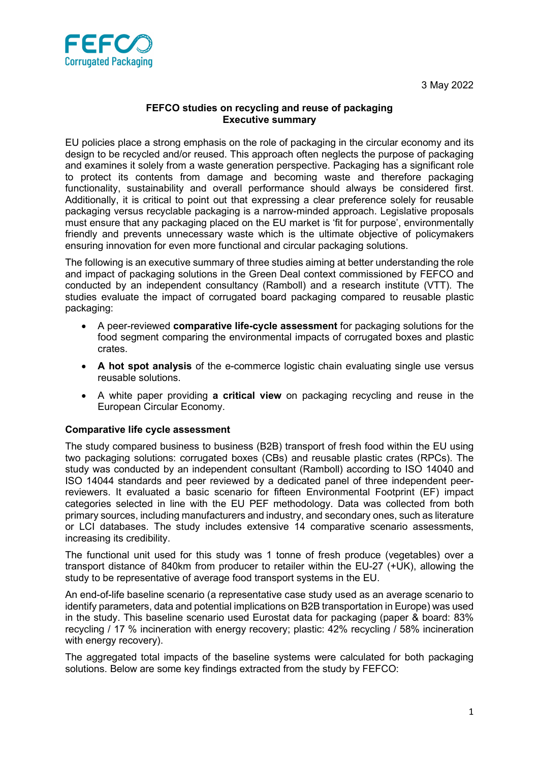



## FEFCO studies on recycling and reuse of packaging Executive summary

EU policies place a strong emphasis on the role of packaging in the circular economy and its design to be recycled and/or reused. This approach often neglects the purpose of packaging and examines it solely from a waste generation perspective. Packaging has a significant role to protect its contents from damage and becoming waste and therefore packaging functionality, sustainability and overall performance should always be considered first. Additionally, it is critical to point out that expressing a clear preference solely for reusable packaging versus recyclable packaging is a narrow-minded approach. Legislative proposals must ensure that any packaging placed on the EU market is 'fit for purpose', environmentally friendly and prevents unnecessary waste which is the ultimate objective of policymakers ensuring innovation for even more functional and circular packaging solutions.

The following is an executive summary of three studies aiming at better understanding the role and impact of packaging solutions in the Green Deal context commissioned by FEFCO and conducted by an independent consultancy (Ramboll) and a research institute (VTT). The studies evaluate the impact of corrugated board packaging compared to reusable plastic packaging:

- A peer-reviewed comparative life-cycle assessment for packaging solutions for the food segment comparing the environmental impacts of corrugated boxes and plastic crates.
- A hot spot analysis of the e-commerce logistic chain evaluating single use versus reusable solutions.
- A white paper providing a critical view on packaging recycling and reuse in the European Circular Economy.

## Comparative life cycle assessment

The study compared business to business (B2B) transport of fresh food within the EU using two packaging solutions: corrugated boxes (CBs) and reusable plastic crates (RPCs). The study was conducted by an independent consultant (Ramboll) according to ISO 14040 and ISO 14044 standards and peer reviewed by a dedicated panel of three independent peerreviewers. It evaluated a basic scenario for fifteen Environmental Footprint (EF) impact categories selected in line with the EU PEF methodology. Data was collected from both primary sources, including manufacturers and industry, and secondary ones, such as literature or LCI databases. The study includes extensive 14 comparative scenario assessments, increasing its credibility.

The functional unit used for this study was 1 tonne of fresh produce (vegetables) over a transport distance of 840km from producer to retailer within the EU-27 (+UK), allowing the study to be representative of average food transport systems in the EU.

An end-of-life baseline scenario (a representative case study used as an average scenario to identify parameters, data and potential implications on B2B transportation in Europe) was used in the study. This baseline scenario used Eurostat data for packaging (paper & board: 83% recycling / 17 % incineration with energy recovery; plastic: 42% recycling / 58% incineration with energy recovery).

The aggregated total impacts of the baseline systems were calculated for both packaging solutions. Below are some key findings extracted from the study by FEFCO: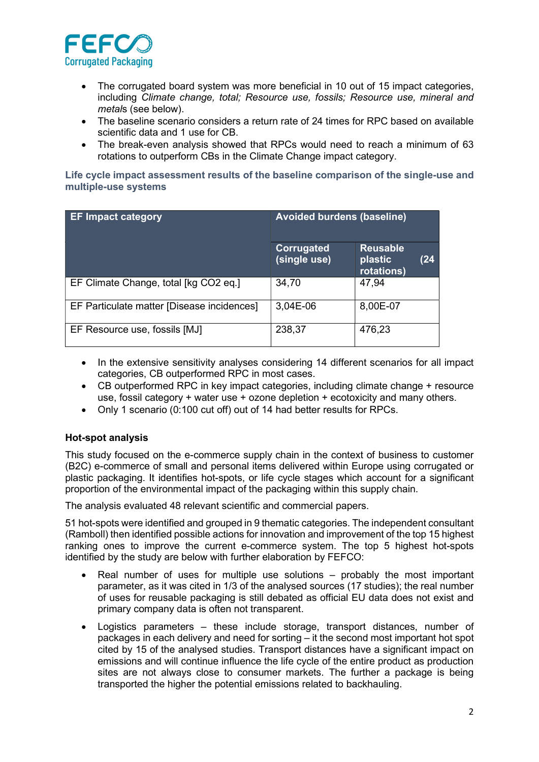

- The corrugated board system was more beneficial in 10 out of 15 impact categories, including Climate change, total; Resource use, fossils; Resource use, mineral and metals (see below).
- The baseline scenario considers a return rate of 24 times for RPC based on available scientific data and 1 use for CB.
- The break-even analysis showed that RPCs would need to reach a minimum of 63 rotations to outperform CBs in the Climate Change impact category.

Life cycle impact assessment results of the baseline comparison of the single-use and multiple-use systems

| <b>EF Impact category</b>                  | <b>Avoided burdens (baseline)</b> |                                                  |
|--------------------------------------------|-----------------------------------|--------------------------------------------------|
|                                            | Corrugated<br>(single use)        | <b>Reusable</b><br>(24)<br>plastic<br>rotations) |
| EF Climate Change, total [kg CO2 eq.]      | 34,70                             | 47,94                                            |
| EF Particulate matter [Disease incidences] | 3,04E-06                          | 8,00E-07                                         |
| EF Resource use, fossils [MJ]              | 238,37                            | 476,23                                           |

- In the extensive sensitivity analyses considering 14 different scenarios for all impact categories, CB outperformed RPC in most cases.
- CB outperformed RPC in key impact categories, including climate change + resource use, fossil category  $+$  water use  $+$  ozone depletion  $+$  ecotoxicity and many others.
- Only 1 scenario (0:100 cut off) out of 14 had better results for RPCs.

## Hot-spot analysis

This study focused on the e-commerce supply chain in the context of business to customer (B2C) e-commerce of small and personal items delivered within Europe using corrugated or plastic packaging. It identifies hot-spots, or life cycle stages which account for a significant proportion of the environmental impact of the packaging within this supply chain.

The analysis evaluated 48 relevant scientific and commercial papers.

51 hot-spots were identified and grouped in 9 thematic categories. The independent consultant (Ramboll) then identified possible actions for innovation and improvement of the top 15 highest ranking ones to improve the current e-commerce system. The top 5 highest hot-spots identified by the study are below with further elaboration by FEFCO:

- Real number of uses for multiple use solutions probably the most important parameter, as it was cited in 1/3 of the analysed sources (17 studies); the real number of uses for reusable packaging is still debated as official EU data does not exist and primary company data is often not transparent.
- Logistics parameters these include storage, transport distances, number of packages in each delivery and need for sorting – it the second most important hot spot cited by 15 of the analysed studies. Transport distances have a significant impact on emissions and will continue influence the life cycle of the entire product as production sites are not always close to consumer markets. The further a package is being transported the higher the potential emissions related to backhauling.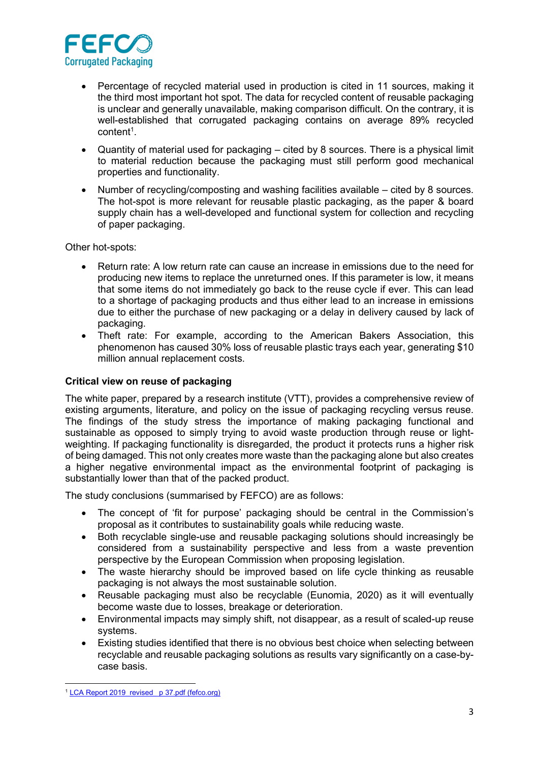

- Percentage of recycled material used in production is cited in 11 sources, making it the third most important hot spot. The data for recycled content of reusable packaging is unclear and generally unavailable, making comparison difficult. On the contrary, it is well-established that corrugated packaging contains on average 89% recycled content<sup>1</sup>.
- Quantity of material used for packaging cited by 8 sources. There is a physical limit to material reduction because the packaging must still perform good mechanical properties and functionality.
- Number of recycling/composting and washing facilities available cited by 8 sources. The hot-spot is more relevant for reusable plastic packaging, as the paper & board supply chain has a well-developed and functional system for collection and recycling of paper packaging.

Other hot-spots:

- Return rate: A low return rate can cause an increase in emissions due to the need for producing new items to replace the unreturned ones. If this parameter is low, it means that some items do not immediately go back to the reuse cycle if ever. This can lead to a shortage of packaging products and thus either lead to an increase in emissions due to either the purchase of new packaging or a delay in delivery caused by lack of packaging.
- Theft rate: For example, according to the American Bakers Association, this phenomenon has caused 30% loss of reusable plastic trays each year, generating \$10 million annual replacement costs.

## Critical view on reuse of packaging

The white paper, prepared by a research institute (VTT), provides a comprehensive review of existing arguments, literature, and policy on the issue of packaging recycling versus reuse. The findings of the study stress the importance of making packaging functional and sustainable as opposed to simply trying to avoid waste production through reuse or lightweighting. If packaging functionality is disregarded, the product it protects runs a higher risk of being damaged. This not only creates more waste than the packaging alone but also creates a higher negative environmental impact as the environmental footprint of packaging is substantially lower than that of the packed product.

The study conclusions (summarised by FEFCO) are as follows:

- The concept of 'fit for purpose' packaging should be central in the Commission's proposal as it contributes to sustainability goals while reducing waste.
- Both recyclable single-use and reusable packaging solutions should increasingly be considered from a sustainability perspective and less from a waste prevention perspective by the European Commission when proposing legislation.
- The waste hierarchy should be improved based on life cycle thinking as reusable packaging is not always the most sustainable solution.
- Reusable packaging must also be recyclable (Eunomia, 2020) as it will eventually become waste due to losses, breakage or deterioration.
- Environmental impacts may simply shift, not disappear, as a result of scaled-up reuse systems.
- Existing studies identified that there is no obvious best choice when selecting between recyclable and reusable packaging solutions as results vary significantly on a case-bycase basis.

<sup>&</sup>lt;sup>1</sup> LCA Report 2019\_revised\_ p 37.pdf (fefco.org)